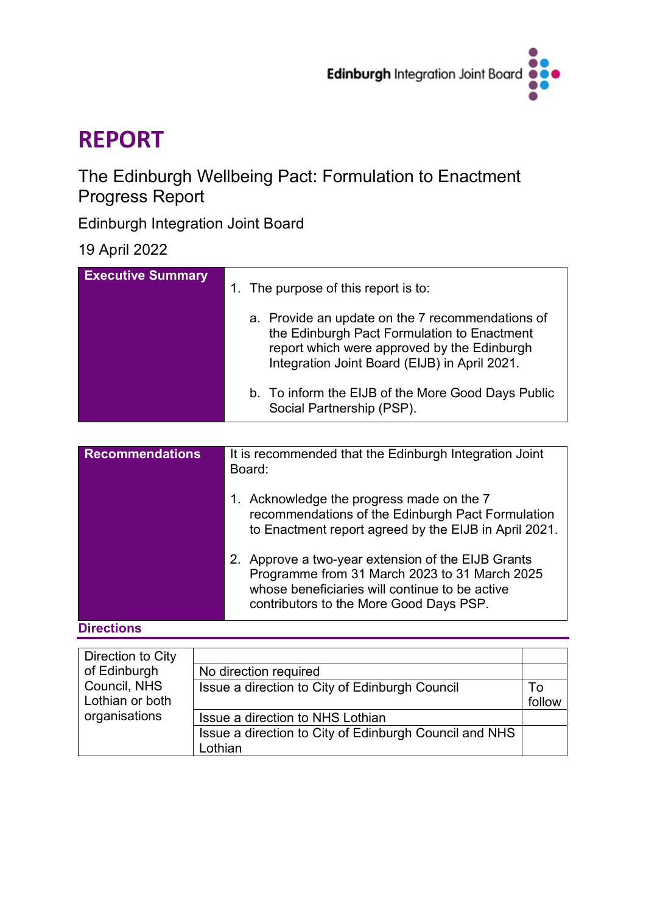

# **REPORT**

# The Edinburgh Wellbeing Pact: Formulation to Enactment Progress Report

Edinburgh Integration Joint Board

19 April 2022

| <b>Executive Summary</b> | The purpose of this report is to:<br>$\mathbf{1}$ .                                                                                                                                             |  |
|--------------------------|-------------------------------------------------------------------------------------------------------------------------------------------------------------------------------------------------|--|
|                          | a. Provide an update on the 7 recommendations of<br>the Edinburgh Pact Formulation to Enactment<br>report which were approved by the Edinburgh<br>Integration Joint Board (EIJB) in April 2021. |  |
|                          | b. To inform the EIJB of the More Good Days Public<br>Social Partnership (PSP).                                                                                                                 |  |

| <b>Recommendations</b> | It is recommended that the Edinburgh Integration Joint<br>Board:                                                                                                                                 |  |
|------------------------|--------------------------------------------------------------------------------------------------------------------------------------------------------------------------------------------------|--|
|                        | Acknowledge the progress made on the 7<br>recommendations of the Edinburgh Pact Formulation<br>to Enactment report agreed by the EIJB in April 2021.                                             |  |
|                        | 2. Approve a two-year extension of the EIJB Grants<br>Programme from 31 March 2023 to 31 March 2025<br>whose beneficiaries will continue to be active<br>contributors to the More Good Days PSP. |  |

**Directions**

| Direction to City |                                                        |        |
|-------------------|--------------------------------------------------------|--------|
| of Edinburgh      | No direction required                                  |        |
| Council, NHS      | Issue a direction to City of Edinburgh Council         | To     |
| Lothian or both   |                                                        | follow |
| organisations     | Issue a direction to NHS Lothian                       |        |
|                   | Issue a direction to City of Edinburgh Council and NHS |        |
|                   | Lothian                                                |        |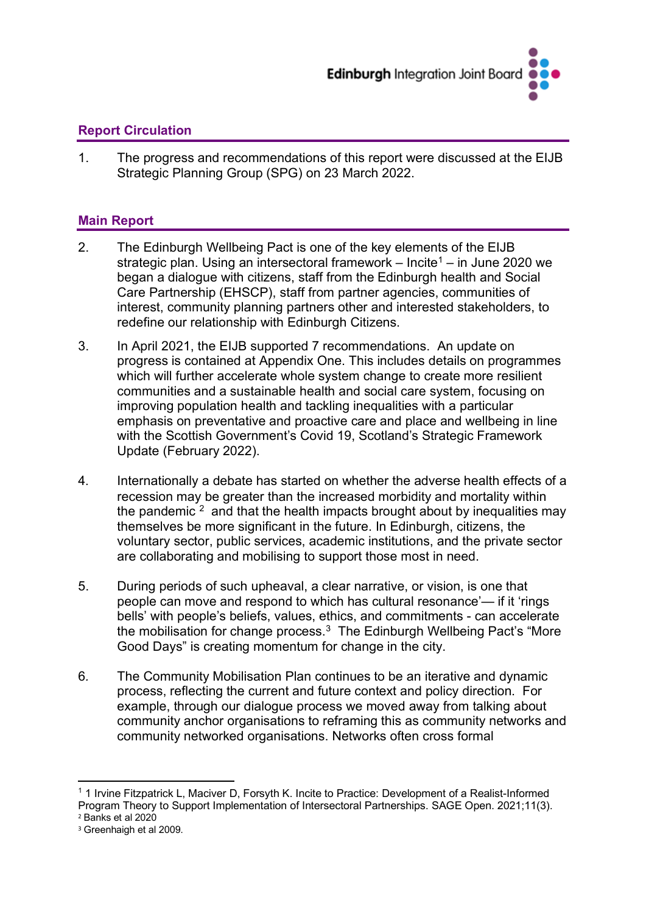

### **Report Circulation**

1. The progress and recommendations of this report were discussed at the EIJB Strategic Planning Group (SPG) on 23 March 2022.

#### **Main Report**

- 2. The Edinburgh Wellbeing Pact is one of the key elements of the EIJB strategic plan. Using an intersectoral framework – Incite<sup>[1](#page-1-0)</sup> – in June 2020 we began a dialogue with citizens, staff from the Edinburgh health and Social Care Partnership (EHSCP), staff from partner agencies, communities of interest, community planning partners other and interested stakeholders, to redefine our relationship with Edinburgh Citizens.
- 3. In April 2021, the EIJB supported 7 recommendations. An update on progress is contained at Appendix One. This includes details on programmes which will further accelerate whole system change to create more resilient communities and a sustainable health and social care system, focusing on improving population health and tackling inequalities with a particular emphasis on preventative and proactive care and place and wellbeing in line with the Scottish Government's Covid 19, Scotland's Strategic Framework Update (February 2022).
- 4. Internationally a debate has started on whether the adverse health effects of a recession may be greater than the increased morbidity and mortality within the pandemic  $2$  and that the health impacts brought about by inequalities may themselves be more significant in the future. In Edinburgh, citizens, the voluntary sector, public services, academic institutions, and the private sector are collaborating and mobilising to support those most in need.
- 5. During periods of such upheaval, a clear narrative, or vision, is one that people can move and respond to which has cultural resonance'— if it 'rings bells' with people's beliefs, values, ethics, and commitments - can accelerate the mobilisation for change process. [3](#page-1-2) The Edinburgh Wellbeing Pact's "More Good Days" is creating momentum for change in the city.
- 6*.* The Community Mobilisation Plan continues to be an iterative and dynamic process, reflecting the current and future context and policy direction. For example, through our dialogue process we moved away from talking about community anchor organisations to reframing this as community networks and community networked organisations. Networks often cross formal

<span id="page-1-0"></span><sup>&</sup>lt;sup>1</sup> 1 Irvine Fitzpatrick L, Maciver D, Forsyth K, Incite to Practice: Development of a Realist-Informed Program Theory to Support Implementation of Intersectoral Partnerships. SAGE Open. 2021;11(3). <sup>2</sup> Banks et al 2020

<span id="page-1-2"></span><span id="page-1-1"></span><sup>3</sup> Greenhaigh et al 2009.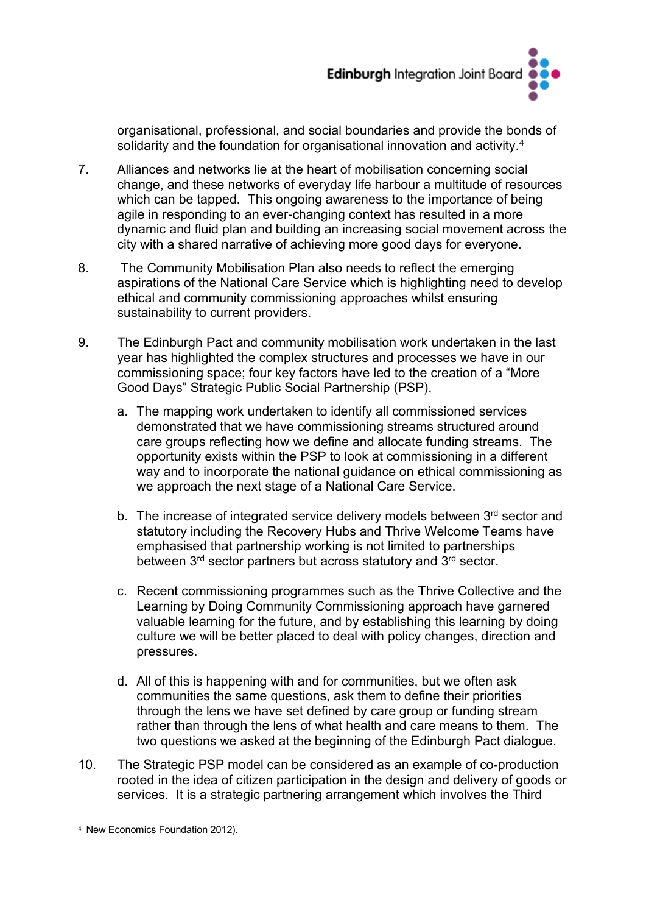

organisational, professional, and social boundaries and provide the bonds of solidarity and the foundation for organisational innovation and activity.<sup>[4](#page-2-0)</sup>

- 7. Alliances and networks lie at the heart of mobilisation concerning social change, and these networks of everyday life harbour a multitude of resources which can be tapped. This ongoing awareness to the importance of being agile in responding to an ever-changing context has resulted in a more dynamic and fluid plan and building an increasing social movement across the city with a shared narrative of achieving more good days for everyone.
- 8. The Community Mobilisation Plan also needs to reflect the emerging aspirations of the National Care Service which is highlighting need to develop ethical and community commissioning approaches whilst ensuring sustainability to current providers.
- 9. The Edinburgh Pact and community mobilisation work undertaken in the last year has highlighted the complex structures and processes we have in our commissioning space; four key factors have led to the creation of a "More Good Days" Strategic Public Social Partnership (PSP).
	- a. The mapping work undertaken to identify all commissioned services demonstrated that we have commissioning streams structured around care groups reflecting how we define and allocate funding streams. The opportunity exists within the PSP to look at commissioning in a different way and to incorporate the national guidance on ethical commissioning as we approach the next stage of a National Care Service.
	- b. The increase of integrated service delivery models between 3<sup>rd</sup> sector and statutory including the Recovery Hubs and Thrive Welcome Teams have emphasised that partnership working is not limited to partnerships between 3<sup>rd</sup> sector partners but across statutory and 3<sup>rd</sup> sector.
	- c. Recent commissioning programmes such as the Thrive Collective and the Learning by Doing Community Commissioning approach have garnered valuable learning for the future, and by establishing this learning by doing culture we will be better placed to deal with policy changes, direction and pressures.
	- d. All of this is happening with and for communities, but we often ask communities the same questions, ask them to define their priorities through the lens we have set defined by care group or funding stream rather than through the lens of what health and care means to them. The two questions we asked at the beginning of the Edinburgh Pact dialogue.
- 10. The Strategic PSP model can be considered as an example of co-production rooted in the idea of citizen participation in the design and delivery of goods or services. It is a strategic partnering arrangement which involves the Third

<span id="page-2-0"></span><sup>4</sup> New Economics Foundation 2012).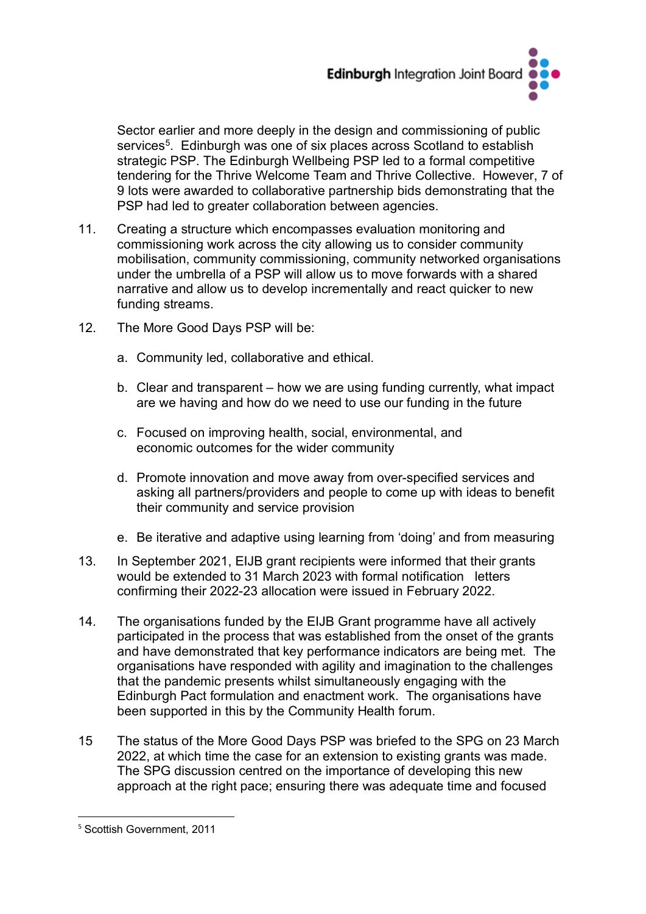

Sector earlier and more deeply in the design and commissioning of public services<sup>5</sup>. Edinburgh was one of six places across Scotland to establish strategic PSP. The Edinburgh Wellbeing PSP led to a formal competitive tendering for the Thrive Welcome Team and Thrive Collective. However, 7 of 9 lots were awarded to collaborative partnership bids demonstrating that the PSP had led to greater collaboration between agencies.

- 11. Creating a structure which encompasses evaluation monitoring and commissioning work across the city allowing us to consider community mobilisation, community commissioning, community networked organisations under the umbrella of a PSP will allow us to move forwards with a shared narrative and allow us to develop incrementally and react quicker to new funding streams.
- 12. The More Good Days PSP will be:
	- a. Community led, collaborative and ethical.
	- b. Clear and transparent how we are using funding currently, what impact are we having and how do we need to use our funding in the future
	- c. Focused on improving health, social, environmental, and economic outcomes for the wider community
	- d. Promote innovation and move away from over-specified services and asking all partners/providers and people to come up with ideas to benefit their community and service provision
	- e. Be iterative and adaptive using learning from 'doing' and from measuring
- 13. In September 2021, EIJB grant recipients were informed that their grants would be extended to 31 March 2023 with formal notification letters confirming their 2022-23 allocation were issued in February 2022.
- 14. The organisations funded by the EIJB Grant programme have all actively participated in the process that was established from the onset of the grants and have demonstrated that key performance indicators are being met. The organisations have responded with agility and imagination to the challenges that the pandemic presents whilst simultaneously engaging with the Edinburgh Pact formulation and enactment work. The organisations have been supported in this by the Community Health forum.
- 15 The status of the More Good Days PSP was briefed to the SPG on 23 March 2022, at which time the case for an extension to existing grants was made. The SPG discussion centred on the importance of developing this new approach at the right pace; ensuring there was adequate time and focused

<span id="page-3-0"></span><sup>5</sup> Scottish Government, 2011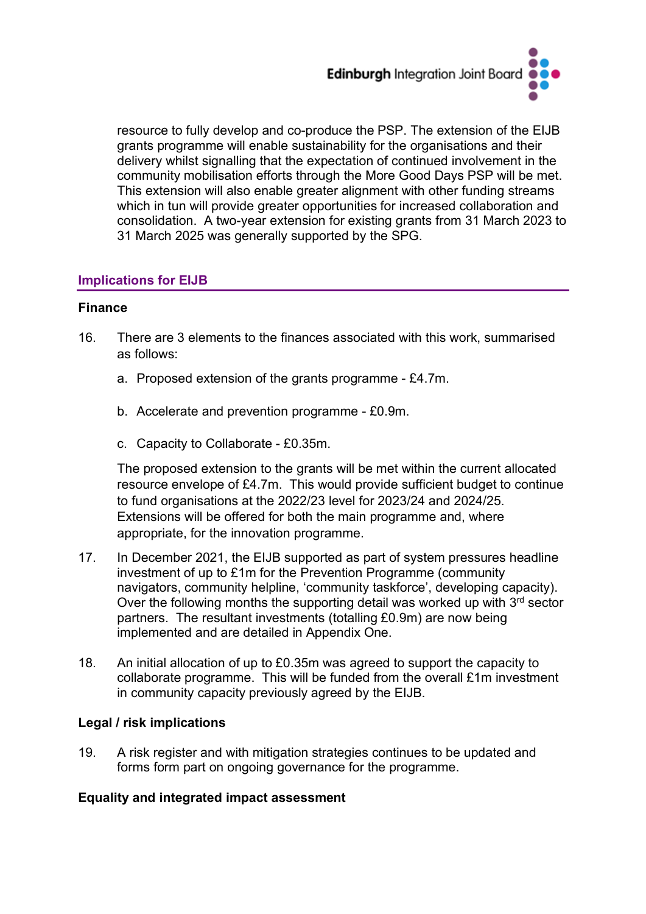

resource to fully develop and co-produce the PSP. The extension of the EIJB grants programme will enable sustainability for the organisations and their delivery whilst signalling that the expectation of continued involvement in the community mobilisation efforts through the More Good Days PSP will be met. This extension will also enable greater alignment with other funding streams which in tun will provide greater opportunities for increased collaboration and consolidation. A two-year extension for existing grants from 31 March 2023 to 31 March 2025 was generally supported by the SPG.

#### **Implications for EIJB**

#### **Finance**

- 16. There are 3 elements to the finances associated with this work, summarised as follows:
	- a. Proposed extension of the grants programme £4.7m.
	- b. Accelerate and prevention programme £0.9m.
	- c. Capacity to Collaborate £0.35m.

The proposed extension to the grants will be met within the current allocated resource envelope of £4.7m. This would provide sufficient budget to continue to fund organisations at the 2022/23 level for 2023/24 and 2024/25. Extensions will be offered for both the main programme and, where appropriate, for the innovation programme.

- 17. In December 2021, the EIJB supported as part of system pressures headline investment of up to £1m for the Prevention Programme (community navigators, community helpline, 'community taskforce', developing capacity). Over the following months the supporting detail was worked up with  $3<sup>rd</sup>$  sector partners. The resultant investments (totalling £0.9m) are now being implemented and are detailed in Appendix One.
- 18. An initial allocation of up to £0.35m was agreed to support the capacity to collaborate programme. This will be funded from the overall £1m investment in community capacity previously agreed by the EIJB.

#### **Legal / risk implications**

19. A risk register and with mitigation strategies continues to be updated and forms form part on ongoing governance for the programme.

#### **Equality and integrated impact assessment**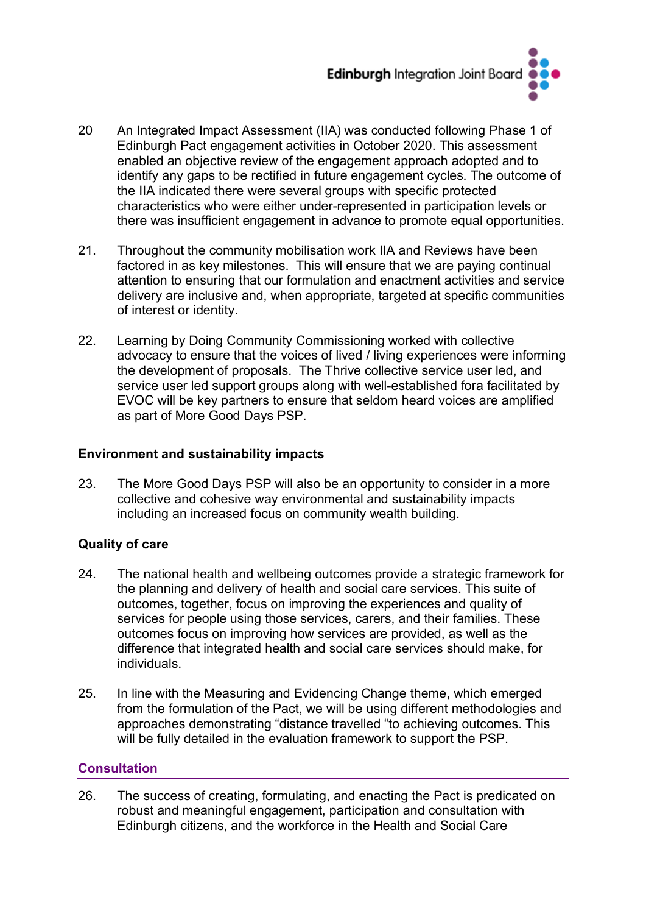

- 20 An Integrated Impact Assessment (IIA) was conducted following Phase 1 of Edinburgh Pact engagement activities in October 2020. This assessment enabled an objective review of the engagement approach adopted and to identify any gaps to be rectified in future engagement cycles. The outcome of the IIA indicated there were several groups with specific protected characteristics who were either under-represented in participation levels or there was insufficient engagement in advance to promote equal opportunities.
- 21. Throughout the community mobilisation work IIA and Reviews have been factored in as key milestones. This will ensure that we are paying continual attention to ensuring that our formulation and enactment activities and service delivery are inclusive and, when appropriate, targeted at specific communities of interest or identity.
- 22. Learning by Doing Community Commissioning worked with collective advocacy to ensure that the voices of lived / living experiences were informing the development of proposals. The Thrive collective service user led, and service user led support groups along with well-established fora facilitated by EVOC will be key partners to ensure that seldom heard voices are amplified as part of More Good Days PSP.

#### **Environment and sustainability impacts**

23. The More Good Days PSP will also be an opportunity to consider in a more collective and cohesive way environmental and sustainability impacts including an increased focus on community wealth building.

#### **Quality of care**

- 24. The national health and wellbeing outcomes provide a strategic framework for the planning and delivery of health and social care services. This suite of outcomes, together, focus on improving the experiences and quality of services for people using those services, carers, and their families. These outcomes focus on improving how services are provided, as well as the difference that integrated health and social care services should make, for individuals.**66.**
- 25. In line with the Measuring and Evidencing Change theme, which emerged from the formulation of the Pact, we will be using different methodologies and approaches demonstrating "distance travelled "to achieving outcomes. This will be fully detailed in the evaluation framework to support the PSP.

#### **Consultation**

26. The success of creating, formulating, and enacting the Pact is predicated on robust and meaningful engagement, participation and consultation with Edinburgh citizens, and the workforce in the Health and Social Care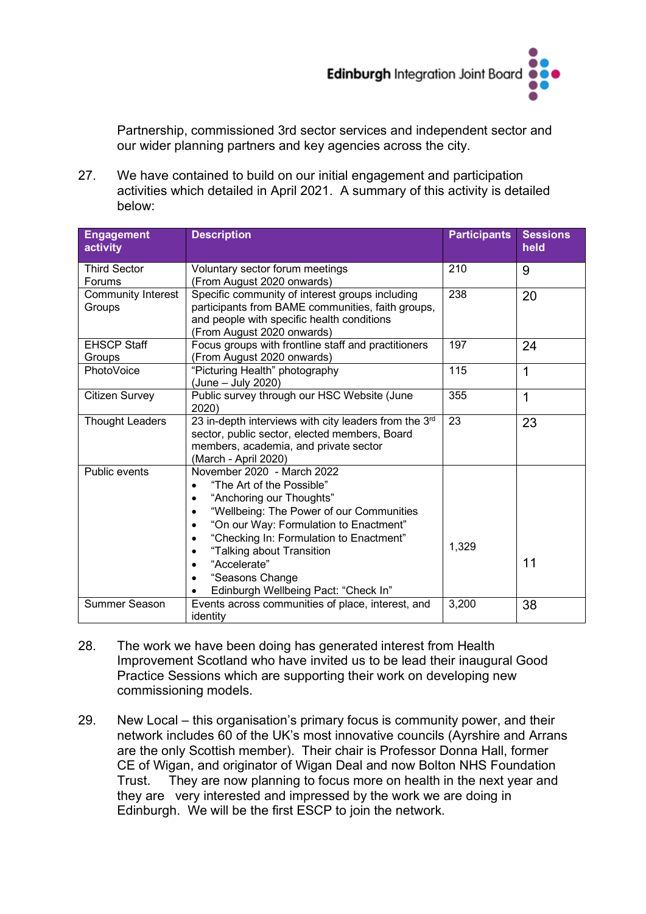

Partnership, commissioned 3rd sector services and independent sector and our wider planning partners and key agencies across the city.

27. We have contained to build on our initial engagement and participation activities which detailed in April 2021. A summary of this activity is detailed below:

| <b>Engagement</b><br>activity | <b>Description</b>                                                                                                                                                                                                                                                                                                                                                                                      | <b>Participants</b> | <b>Sessions</b><br>held |
|-------------------------------|---------------------------------------------------------------------------------------------------------------------------------------------------------------------------------------------------------------------------------------------------------------------------------------------------------------------------------------------------------------------------------------------------------|---------------------|-------------------------|
| <b>Third Sector</b><br>Forums | Voluntary sector forum meetings<br>(From August 2020 onwards)                                                                                                                                                                                                                                                                                                                                           | 210                 | 9                       |
| Community Interest<br>Groups  | Specific community of interest groups including<br>participants from BAME communities, faith groups,<br>and people with specific health conditions<br>(From August 2020 onwards)                                                                                                                                                                                                                        | 238                 | 20                      |
| <b>EHSCP Staff</b><br>Groups  | Focus groups with frontline staff and practitioners<br>(From August 2020 onwards)                                                                                                                                                                                                                                                                                                                       | 197                 | 24                      |
| PhotoVoice                    | "Picturing Health" photography<br>(June - July 2020)                                                                                                                                                                                                                                                                                                                                                    | 115                 | 1                       |
| <b>Citizen Survey</b>         | Public survey through our HSC Website (June<br>2020)                                                                                                                                                                                                                                                                                                                                                    | 355                 | 1                       |
| <b>Thought Leaders</b>        | 23 in-depth interviews with city leaders from the 3rd<br>sector, public sector, elected members, Board<br>members, academia, and private sector<br>(March - April 2020)                                                                                                                                                                                                                                 | 23                  | 23                      |
| <b>Public events</b>          | November 2020 - March 2022<br>"The Art of the Possible"<br>"Anchoring our Thoughts"<br>$\bullet$<br>"Wellbeing: The Power of our Communities<br>$\bullet$<br>"On our Way: Formulation to Enactment"<br>$\bullet$<br>"Checking In: Formulation to Enactment"<br>$\bullet$<br>"Talking about Transition<br>٠<br>"Accelerate"<br>$\bullet$<br>"Seasons Change<br>٠<br>Edinburgh Wellbeing Pact: "Check In" | 1,329               | 11                      |
| <b>Summer Season</b>          | Events across communities of place, interest, and<br>identity                                                                                                                                                                                                                                                                                                                                           | 3,200               | 38                      |

- 28. The work we have been doing has generated interest from Health Improvement Scotland who have invited us to be lead their inaugural Good Practice Sessions which are supporting their work on developing new commissioning models.
- 29. New Local this organisation's primary focus is community power, and their network includes 60 of the UK's most innovative councils (Ayrshire and Arrans are the only Scottish member). Their chair is Professor Donna Hall, former CE of Wigan, and originator of Wigan Deal and now Bolton NHS Foundation Trust. They are now planning to focus more on health in the next year and they are very interested and impressed by the work we are doing in Edinburgh. We will be the first ESCP to join the network.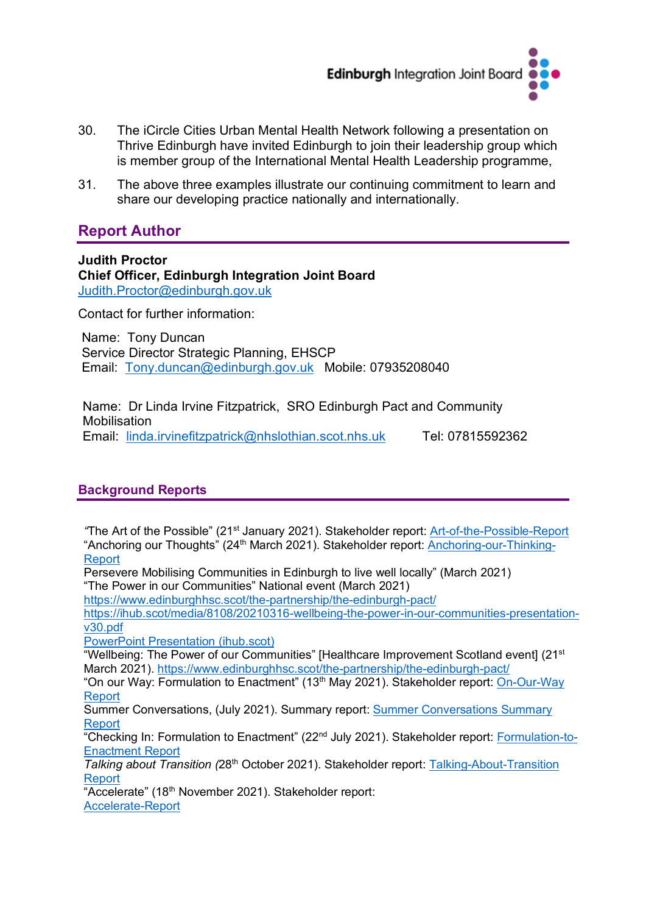

- 30. The iCircle Cities Urban Mental Health Network following a presentation on Thrive Edinburgh have invited Edinburgh to join their leadership group which is member group of the International Mental Health Leadership programme,
- 31. The above three examples illustrate our continuing commitment to learn and share our developing practice nationally and internationally.

# **Report Author**

**Judith Proctor Chief Officer, Edinburgh Integration Joint Board** [Judith.Proctor@edinburgh.gov.uk](mailto:Judith.Proctor@edinburgh.gov.uk) 

Contact for further information:

Name: Tony Duncan Service Director Strategic Planning, EHSCP Email: [Tony.duncan@edinburgh.gov.uk](mailto:Tony.duncan@edinburgh.gov.uk) Mobile: 07935208040

Name: Dr Linda Irvine Fitzpatrick, SRO Edinburgh Pact and Community **Mobilisation** Email: [linda.irvinefitzpatrick@nhslothian.scot.nhs.uk](mailto:linda.irvinefitzpatrick@nhslothian.scot.nhs.uk) Tel: 07815592362

# **Background Reports**

*"*The Art of the Possible" (21st January 2021). Stakeholder report: [Art-of-the-Possible-Report](https://www.evoc.org.uk/wordpress/wp-content/media/2021/12/Art-of-the-Possible-21-Jan.pdf) "Anchoring our Thoughts" (24<sup>th</sup> March 2021). Stakeholder report: [Anchoring-our-Thinking-](https://www.evoc.org.uk/wordpress/wp-content/media/2022/03/Anchoring-our-Thinking-Report_V0.1.pdf)**[Report](https://www.evoc.org.uk/wordpress/wp-content/media/2022/03/Anchoring-our-Thinking-Report_V0.1.pdf)** 

Persevere Mobilising Communities in Edinburgh to live well locally" (March 2021) "The Power in our Communities" National event (March 2021)

<https://www.edinburghhsc.scot/the-partnership/the-edinburgh-pact/>

[https://ihub.scot/media/8108/20210316-wellbeing-the-power-in-our-communities-presentation](https://ihub.scot/media/8108/20210316-wellbeing-the-power-in-our-communities-presentation-v30.pdf)[v30.pdf](https://ihub.scot/media/8108/20210316-wellbeing-the-power-in-our-communities-presentation-v30.pdf) 

[PowerPoint Presentation \(ihub.scot\)](https://ihub.scot/media/8113/20210318-flash-report-wellbeing-the-power-in-our-communities-v11.pdf)

"Wellbeing: The Power of our Communities" [Healthcare Improvement Scotland event] (21st March 2021). <https://www.edinburghhsc.scot/the-partnership/the-edinburgh-pact/>

"On our Way: Formulation to Enactment" (13<sup>th</sup> May 2021). Stakeholder report: On-Our-Way **[Report](https://www.evoc.org.uk/wordpress/wp-content/media/2021/12/On-Our-Way-13-May.pdf)** 

Summer Conversations, (July 2021). Summary report: [Summer Conversations Summary](https://www.evoc.org.uk/wordpress/wp-content/media/2022/01/Summer-conversations-Report-Dec-2021.pdf)  [Report](https://www.evoc.org.uk/wordpress/wp-content/media/2022/01/Summer-conversations-Report-Dec-2021.pdf)

"Checking In: Formulation to Enactment" (22nd July 2021). Stakeholder report: [Formulation-to-](https://www.evoc.org.uk/wordpress/wp-content/media/2021/12/Formulation-to-Enactment-22-Jul.pdf)[Enactment Report](https://www.evoc.org.uk/wordpress/wp-content/media/2021/12/Formulation-to-Enactment-22-Jul.pdf)

*Talking about Transition (*28th October 2021). Stakeholder report: [Talking-About-Transition](https://www.evoc.org.uk/wordpress/wp-content/media/2021/12/Talking-About-Transition-28-Oct.pdf)  [Report](https://www.evoc.org.uk/wordpress/wp-content/media/2021/12/Talking-About-Transition-28-Oct.pdf)

"Accelerate" (18th November 2021). Stakeholder report: [Accelerate-Report](https://www.evoc.org.uk/wordpress/wp-content/media/2021/12/Accelerate-Report-14-Nov.pdf)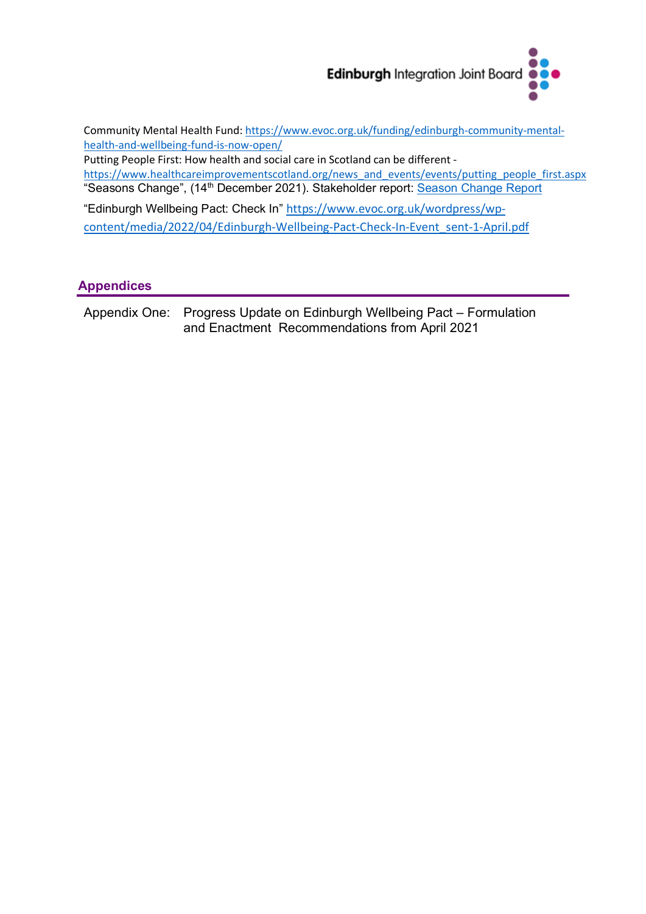

Community Mental Health Fund: [https://www.evoc.org.uk/funding/edinburgh-community-mental](https://www.evoc.org.uk/funding/edinburgh-community-mental-health-and-wellbeing-fund-is-now-open/)[health-and-wellbeing-fund-is-now-open/](https://www.evoc.org.uk/funding/edinburgh-community-mental-health-and-wellbeing-fund-is-now-open/)

Putting People First: How health and social care in Scotland can be different [https://www.healthcareimprovementscotland.org/news\\_and\\_events/events/putting\\_people\\_first.aspx](https://www.healthcareimprovementscotland.org/news_and_events/events/putting_people_first.aspx) "Seasons Change", (14<sup>th</sup> December 2021). Stakeholder report: [Season Change Report](https://www.evoc.org.uk/wordpress/wp-content/media/2022/02/14-December-Season-Change-Report-sent-20-January.pdf)

"Edinburgh Wellbeing Pact: Check In" [https://www.evoc.org.uk/wordpress/wp](https://www.evoc.org.uk/wordpress/wp-content/media/2022/04/Edinburgh-Wellbeing-Pact-Check-In-Event_sent-1-April.pdf)[content/media/2022/04/Edinburgh-Wellbeing-Pact-Check-In-Event\\_sent-1-April.pdf](https://www.evoc.org.uk/wordpress/wp-content/media/2022/04/Edinburgh-Wellbeing-Pact-Check-In-Event_sent-1-April.pdf)

# **Appendices**

Appendix One: Progress Update on Edinburgh Wellbeing Pact – Formulation and Enactment Recommendations from April 2021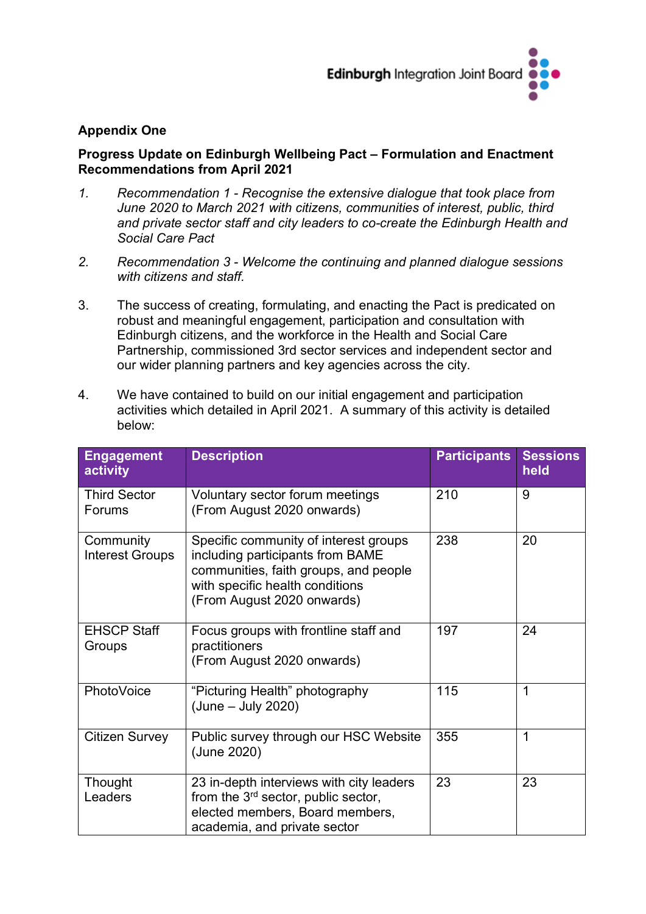

#### **Appendix One**

#### **Progress Update on Edinburgh Wellbeing Pact – Formulation and Enactment Recommendations from April 2021**

- *1. Recommendation 1 - Recognise the extensive dialogue that took place from June 2020 to March 2021 with citizens, communities of interest, public, third and private sector staff and city leaders to co-create the Edinburgh Health and Social Care Pact*
- *2. Recommendation 3 - Welcome the continuing and planned dialogue sessions with citizens and staff.*
- 3. The success of creating, formulating, and enacting the Pact is predicated on robust and meaningful engagement, participation and consultation with Edinburgh citizens, and the workforce in the Health and Social Care Partnership, commissioned 3rd sector services and independent sector and our wider planning partners and key agencies across the city.

| <b>Engagement</b><br>activity       | <b>Description</b>                                                                                                                                                                  | <b>Participants</b> | <b>Sessions</b><br>held |
|-------------------------------------|-------------------------------------------------------------------------------------------------------------------------------------------------------------------------------------|---------------------|-------------------------|
| <b>Third Sector</b><br>Forums       | Voluntary sector forum meetings<br>(From August 2020 onwards)                                                                                                                       | 210                 | 9                       |
| Community<br><b>Interest Groups</b> | Specific community of interest groups<br>including participants from BAME<br>communities, faith groups, and people<br>with specific health conditions<br>(From August 2020 onwards) | 238                 | 20                      |
| <b>EHSCP Staff</b><br>Groups        | Focus groups with frontline staff and<br>practitioners<br>(From August 2020 onwards)                                                                                                | 197                 | 24                      |
| PhotoVoice                          | "Picturing Health" photography<br>$(June - July 2020)$                                                                                                                              | 115                 | 1                       |
| <b>Citizen Survey</b>               | Public survey through our HSC Website<br>(June 2020)                                                                                                                                | 355                 | $\mathbf 1$             |
| Thought<br>Leaders                  | 23 in-depth interviews with city leaders<br>from the $3^{rd}$ sector, public sector,<br>elected members, Board members,<br>academia, and private sector                             | 23                  | 23                      |

4. We have contained to build on our initial engagement and participation activities which detailed in April 2021. A summary of this activity is detailed below: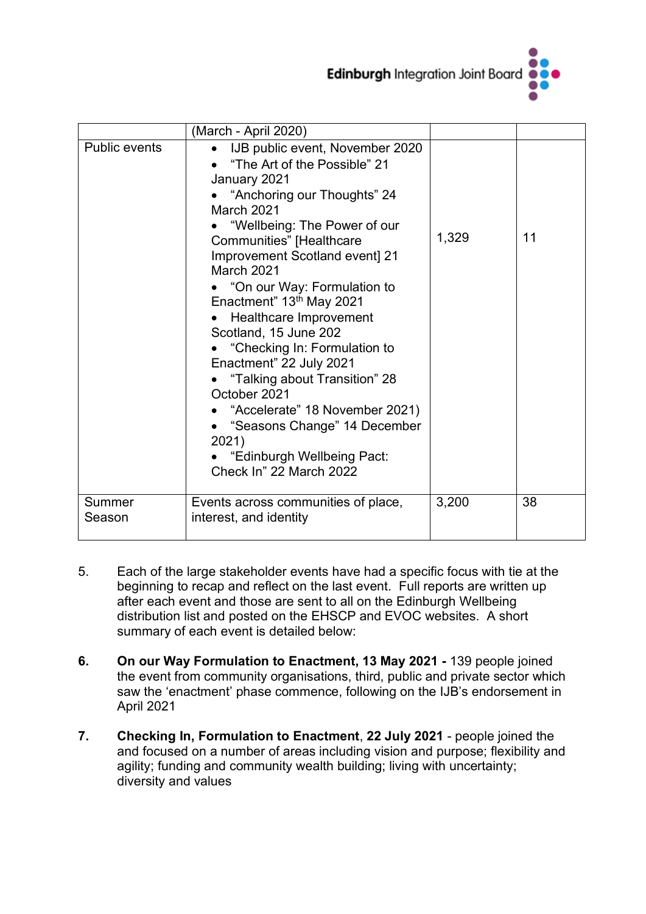

|                      | (March - April 2020)                                                                                                                                                                                                                                                                                                                                                                                                                                                                                                                                                                                                |       |    |
|----------------------|---------------------------------------------------------------------------------------------------------------------------------------------------------------------------------------------------------------------------------------------------------------------------------------------------------------------------------------------------------------------------------------------------------------------------------------------------------------------------------------------------------------------------------------------------------------------------------------------------------------------|-------|----|
| <b>Public events</b> | IJB public event, November 2020<br>"The Art of the Possible" 21<br>January 2021<br>"Anchoring our Thoughts" 24<br>March 2021<br>"Wellbeing: The Power of our<br><b>Communities"</b> [Healthcare<br>Improvement Scotland event] 21<br>March 2021<br>• "On our Way: Formulation to<br>Enactment" 13th May 2021<br>Healthcare Improvement<br>Scotland, 15 June 202<br>• "Checking In: Formulation to<br>Enactment" 22 July 2021<br>"Talking about Transition" 28<br>October 2021<br>"Accelerate" 18 November 2021)<br>• "Seasons Change" 14 December<br>2021)<br>"Edinburgh Wellbeing Pact:<br>Check In" 22 March 2022 | 1,329 | 11 |
| Summer<br>Season     | Events across communities of place,<br>interest, and identity                                                                                                                                                                                                                                                                                                                                                                                                                                                                                                                                                       | 3,200 | 38 |

- 5. Each of the large stakeholder events have had a specific focus with tie at the beginning to recap and reflect on the last event. Full reports are written up after each event and those are sent to all on the Edinburgh Wellbeing distribution list and posted on the EHSCP and EVOC websites. A short summary of each event is detailed below:
- **6. On our Way Formulation to Enactment, 13 May 2021 -** 139 people joined the event from community organisations, third, public and private sector which saw the 'enactment' phase commence, following on the IJB's endorsement in April 2021
- **7. Checking In, Formulation to Enactment**, **22 July 2021** people joined the and focused on a number of areas including vision and purpose; flexibility and agility; funding and community wealth building; living with uncertainty; diversity and values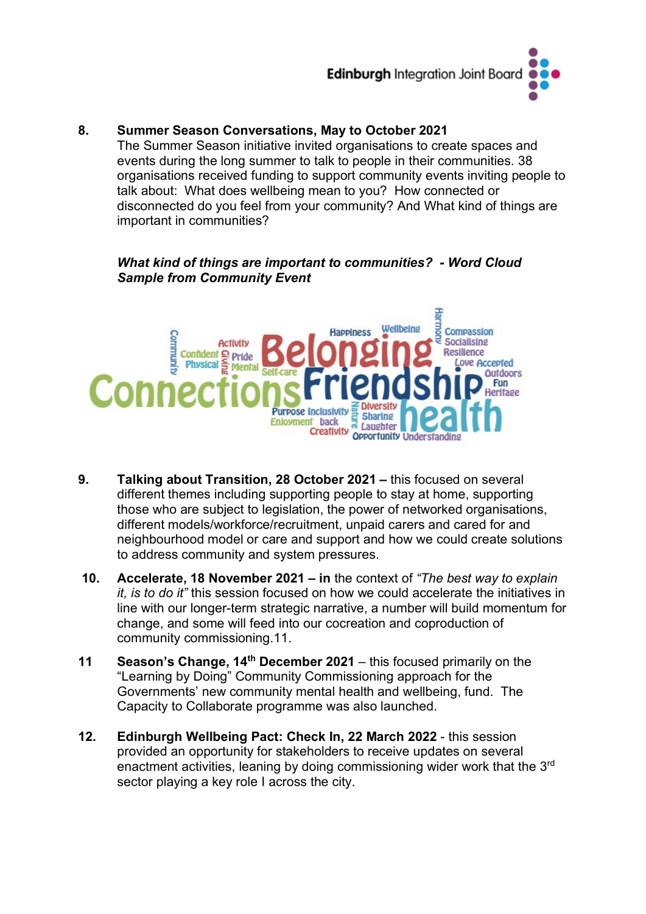

#### **8. Summer Season Conversations, May to October 2021**

The Summer Season initiative invited organisations to create spaces and events during the long summer to talk to people in their communities. 38 organisations received funding to support community events inviting people to talk about: What does wellbeing mean to you? How connected or disconnected do you feel from your community? And What kind of things are important in communities?

#### *What kind of things are important to communities? - Word Cloud Sample from Community Event*



- **9. Talking about Transition, 28 October 2021 –** this focused on several different themes including supporting people to stay at home, supporting those who are subject to legislation, the power of networked organisations, different models/workforce/recruitment, unpaid carers and cared for and neighbourhood model or care and support and how we could create solutions to address community and system pressures.
- **10. Accelerate, 18 November 2021 – in** the context of *"The best way to explain it, is to do it"* this session focused on how we could accelerate the initiatives in line with our longer-term strategic narrative, a number will build momentum for change, and some will feed into our cocreation and coproduction of community commissioning.11.
- **11 Season's Change, 14th December 2021** this focused primarily on the "Learning by Doing" Community Commissioning approach for the Governments' new community mental health and wellbeing, fund. The Capacity to Collaborate programme was also launched.
- **12. Edinburgh Wellbeing Pact: Check In, 22 March 2022** this session provided an opportunity for stakeholders to receive updates on several enactment activities, leaning by doing commissioning wider work that the 3<sup>rd</sup> sector playing a key role I across the city.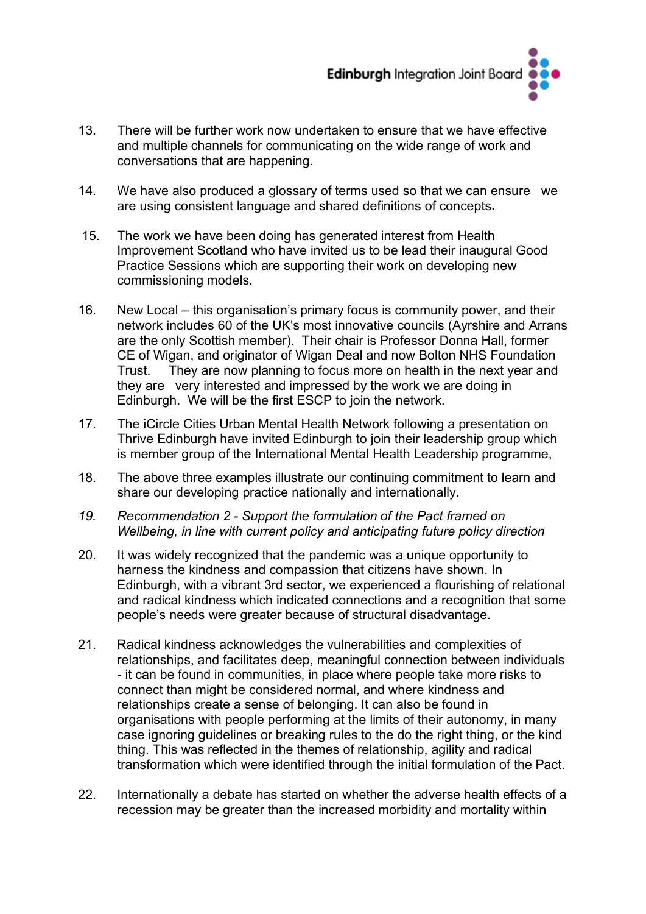

- 13. There will be further work now undertaken to ensure that we have effective and multiple channels for communicating on the wide range of work and conversations that are happening.
- 14. We have also produced a glossary of terms used so that we can ensure we are using consistent language and shared definitions of concepts**.**
- 15. The work we have been doing has generated interest from Health Improvement Scotland who have invited us to be lead their inaugural Good Practice Sessions which are supporting their work on developing new commissioning models.
- 16. New Local this organisation's primary focus is community power, and their network includes 60 of the UK's most innovative councils (Ayrshire and Arrans are the only Scottish member). Their chair is Professor Donna Hall, former CE of Wigan, and originator of Wigan Deal and now Bolton NHS Foundation Trust. They are now planning to focus more on health in the next year and they are very interested and impressed by the work we are doing in Edinburgh. We will be the first ESCP to join the network.
- 17. The iCircle Cities Urban Mental Health Network following a presentation on Thrive Edinburgh have invited Edinburgh to join their leadership group which is member group of the International Mental Health Leadership programme,
- 18. The above three examples illustrate our continuing commitment to learn and share our developing practice nationally and internationally.
- *19. Recommendation 2 - Support the formulation of the Pact framed on Wellbeing, in line with current policy and anticipating future policy direction*
- 20. It was widely recognized that the pandemic was a unique opportunity to harness the kindness and compassion that citizens have shown. In Edinburgh, with a vibrant 3rd sector, we experienced a flourishing of relational and radical kindness which indicated connections and a recognition that some people's needs were greater because of structural disadvantage.
- 21. Radical kindness acknowledges the vulnerabilities and complexities of relationships, and facilitates deep, meaningful connection between individuals - it can be found in communities, in place where people take more risks to connect than might be considered normal, and where kindness and relationships create a sense of belonging. It can also be found in organisations with people performing at the limits of their autonomy, in many case ignoring guidelines or breaking rules to the do the right thing, or the kind thing. This was reflected in the themes of relationship, agility and radical transformation which were identified through the initial formulation of the Pact.
- 22. Internationally a debate has started on whether the adverse health effects of a recession may be greater than the increased morbidity and mortality within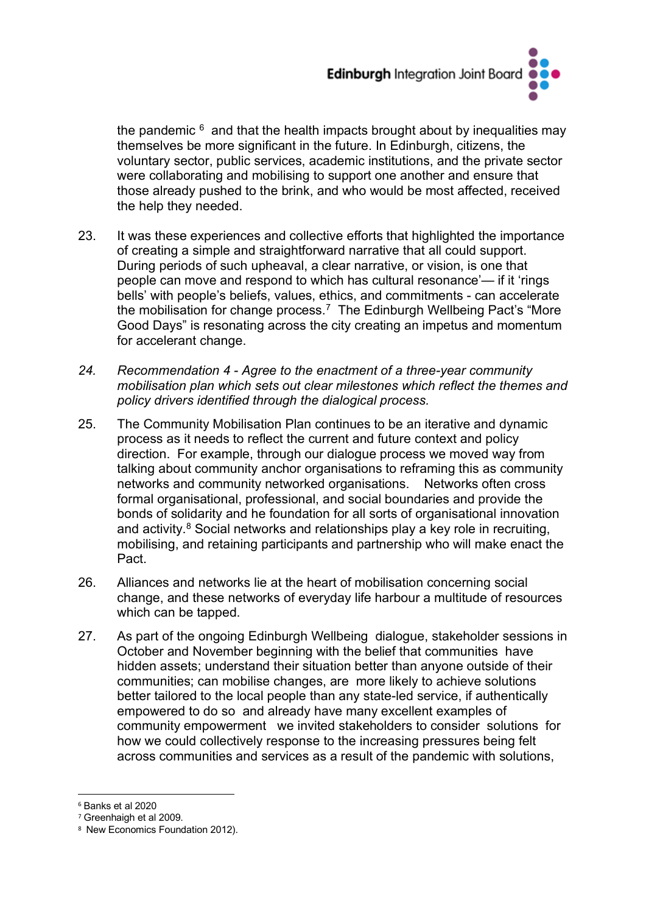

the pandemic  $6$  and that the health impacts brought about by inequalities may themselves be more significant in the future. In Edinburgh, citizens, the voluntary sector, public services, academic institutions, and the private sector were collaborating and mobilising to support one another and ensure that those already pushed to the brink, and who would be most affected, received the help they needed.

- 23. It was these experiences and collective efforts that highlighted the importance of creating a simple and straightforward narrative that all could support. During periods of such upheaval, a clear narrative, or vision, is one that people can move and respond to which has cultural resonance'— if it 'rings bells' with people's beliefs, values, ethics, and commitments - can accelerate the mobilisation for change process. [7](#page-13-1) The Edinburgh Wellbeing Pact's "More Good Days" is resonating across the city creating an impetus and momentum for accelerant change.
- *24. Recommendation 4 - Agree to the enactment of a three-year community mobilisation plan which sets out clear milestones which reflect the themes and policy drivers identified through the dialogical process.*
- 25. The Community Mobilisation Plan continues to be an iterative and dynamic process as it needs to reflect the current and future context and policy direction. For example, through our dialogue process we moved way from talking about community anchor organisations to reframing this as community networks and community networked organisations. Networks often cross formal organisational, professional, and social boundaries and provide the bonds of solidarity and he foundation for all sorts of organisational innovation and activity.<sup>[8](#page-13-2)</sup> Social networks and relationships play a key role in recruiting. mobilising, and retaining participants and partnership who will make enact the Pact.
- 26. Alliances and networks lie at the heart of mobilisation concerning social change, and these networks of everyday life harbour a multitude of resources which can be tapped.
- 27. As part of the ongoing Edinburgh Wellbeing dialogue, stakeholder sessions in October and November beginning with the belief that communities have hidden assets; understand their situation better than anyone outside of their communities; can mobilise changes, are more likely to achieve solutions better tailored to the local people than any state-led service, if authentically empowered to do so and already have many excellent examples of community empowerment we invited stakeholders to consider solutions for how we could collectively response to the increasing pressures being felt across communities and services as a result of the pandemic with solutions,

<span id="page-13-0"></span><sup>6</sup> Banks et al 2020

<span id="page-13-1"></span><sup>7</sup> Greenhaigh et al 2009.

<span id="page-13-2"></span><sup>8</sup> New Economics Foundation 2012).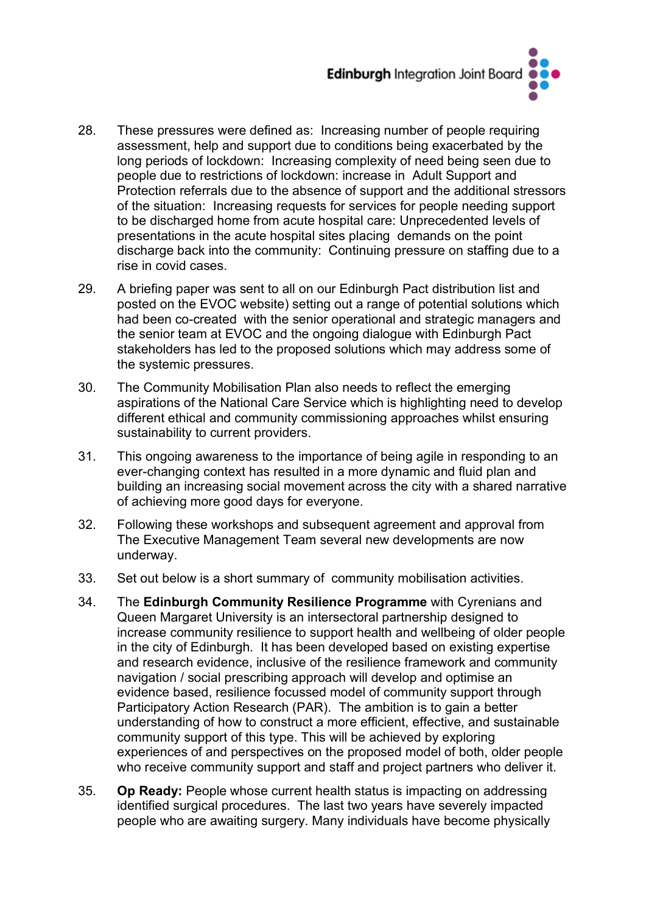

- 28. These pressures were defined as: Increasing number of people requiring assessment, help and support due to conditions being exacerbated by the long periods of lockdown: Increasing complexity of need being seen due to people due to restrictions of lockdown: increase in Adult Support and Protection referrals due to the absence of support and the additional stressors of the situation: Increasing requests for services for people needing support to be discharged home from acute hospital care: Unprecedented levels of presentations in the acute hospital sites placing demands on the point discharge back into the community: Continuing pressure on staffing due to a rise in covid cases.
- 29. A briefing paper was sent to all on our Edinburgh Pact distribution list and posted on the EVOC website) setting out a range of potential solutions which had been co-created with the senior operational and strategic managers and the senior team at EVOC and the ongoing dialogue with Edinburgh Pact stakeholders has led to the proposed solutions which may address some of the systemic pressures.
- 30. The Community Mobilisation Plan also needs to reflect the emerging aspirations of the National Care Service which is highlighting need to develop different ethical and community commissioning approaches whilst ensuring sustainability to current providers.
- 31. This ongoing awareness to the importance of being agile in responding to an ever-changing context has resulted in a more dynamic and fluid plan and building an increasing social movement across the city with a shared narrative of achieving more good days for everyone.
- 32. Following these workshops and subsequent agreement and approval from The Executive Management Team several new developments are now underway.
- 33. Set out below is a short summary of community mobilisation activities.
- 34. The **Edinburgh Community Resilience Programme** with Cyrenians and Queen Margaret University is an intersectoral partnership designed to increase community resilience to support health and wellbeing of older people in the city of Edinburgh. It has been developed based on existing expertise and research evidence, inclusive of the resilience framework and community navigation / social prescribing approach will develop and optimise an evidence based, resilience focussed model of community support through Participatory Action Research (PAR). The ambition is to gain a better understanding of how to construct a more efficient, effective, and sustainable community support of this type. This will be achieved by exploring experiences of and perspectives on the proposed model of both, older people who receive community support and staff and project partners who deliver it.
- 35. **Op Ready:** People whose current health status is impacting on addressing identified surgical procedures. The last two years have severely impacted people who are awaiting surgery. Many individuals have become physically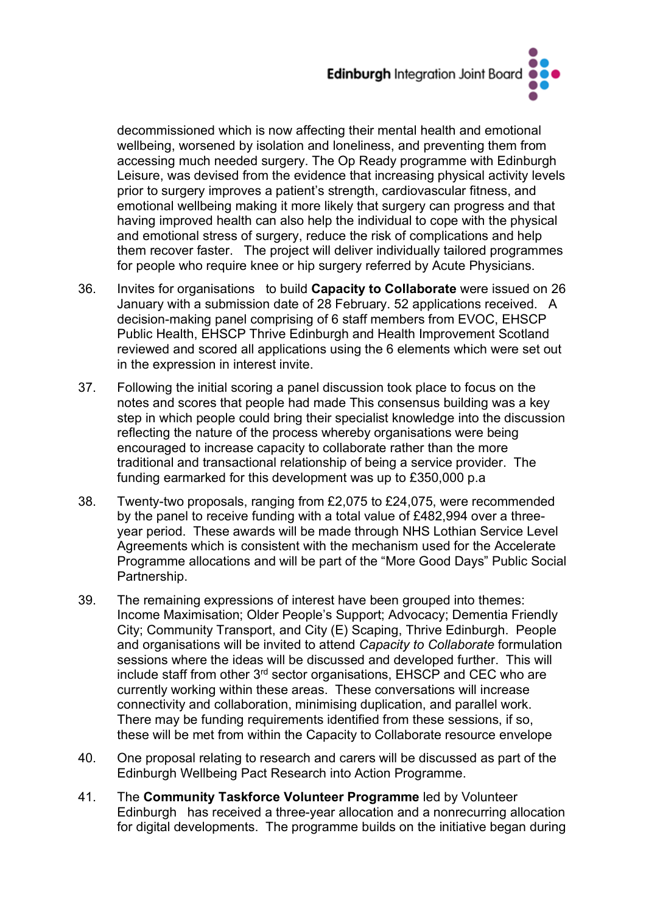

decommissioned which is now affecting their mental health and emotional wellbeing, worsened by isolation and loneliness, and preventing them from accessing much needed surgery. The Op Ready programme with Edinburgh Leisure, was devised from the evidence that increasing physical activity levels prior to surgery improves a patient's strength, cardiovascular fitness, and emotional wellbeing making it more likely that surgery can progress and that having improved health can also help the individual to cope with the physical and emotional stress of surgery, reduce the risk of complications and help them recover faster. The project will deliver individually tailored programmes for people who require knee or hip surgery referred by Acute Physicians.

- 36. Invites for organisations to build **Capacity to Collaborate** were issued on 26 January with a submission date of 28 February. 52 applications received. A decision-making panel comprising of 6 staff members from EVOC, EHSCP Public Health, EHSCP Thrive Edinburgh and Health Improvement Scotland reviewed and scored all applications using the 6 elements which were set out in the expression in interest invite.
- 37. Following the initial scoring a panel discussion took place to focus on the notes and scores that people had made This consensus building was a key step in which people could bring their specialist knowledge into the discussion reflecting the nature of the process whereby organisations were being encouraged to increase capacity to collaborate rather than the more traditional and transactional relationship of being a service provider. The funding earmarked for this development was up to £350,000 p.a
- 38. Twenty-two proposals, ranging from £2,075 to £24,075, were recommended by the panel to receive funding with a total value of £482,994 over a threeyear period. These awards will be made through NHS Lothian Service Level Agreements which is consistent with the mechanism used for the Accelerate Programme allocations and will be part of the "More Good Days" Public Social Partnership.
- 39. The remaining expressions of interest have been grouped into themes: Income Maximisation; Older People's Support; Advocacy; Dementia Friendly City; Community Transport, and City (E) Scaping, Thrive Edinburgh. People and organisations will be invited to attend *Capacity to Collaborate* formulation sessions where the ideas will be discussed and developed further. This will include staff from other 3rd sector organisations, EHSCP and CEC who are currently working within these areas. These conversations will increase connectivity and collaboration, minimising duplication, and parallel work. There may be funding requirements identified from these sessions, if so, these will be met from within the Capacity to Collaborate resource envelope
- 40. One proposal relating to research and carers will be discussed as part of the Edinburgh Wellbeing Pact Research into Action Programme.
- 41. The **Community Taskforce Volunteer Programme** led by Volunteer Edinburghhas received a three-year allocation and a nonrecurring allocation for digital developments. The programme builds on the initiative began during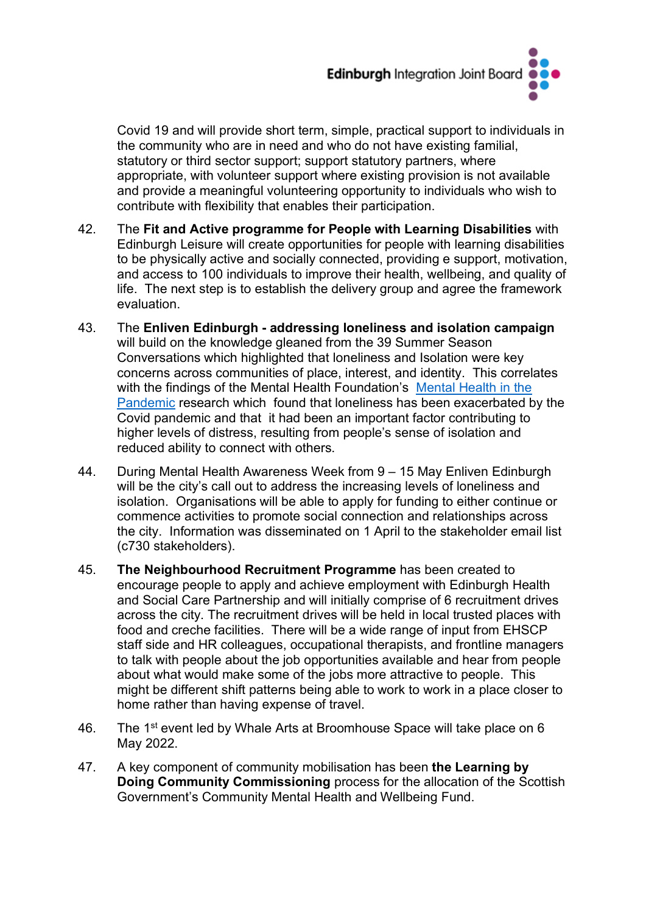

Covid 19 and will provide short term, simple, practical support to individuals in the community who are in need and who do not have existing familial, statutory or third sector support; support statutory partners, where appropriate, with volunteer support where existing provision is not available and provide a meaningful volunteering opportunity to individuals who wish to contribute with flexibility that enables their participation.

- 42. The **Fit and Active programme for People with Learning Disabilities** with Edinburgh Leisure will create opportunities for people with learning disabilities to be physically active and socially connected, providing e support, motivation, and access to 100 individuals to improve their health, wellbeing, and quality of life. The next step is to establish the delivery group and agree the framework evaluation.
- 43. The **Enliven Edinburgh - addressing loneliness and isolation campaign** will build on the knowledge gleaned from the 39 Summer Season Conversations which highlighted that loneliness and Isolation were key concerns across communities of place, interest, and identity. This correlates with the findings of the Mental Health Foundation's [Mental Health in the](https://www.mentalhealth.org.uk/our-work/research/coronavirus-mental-health-pandemic/)  [Pandemic](https://www.mentalhealth.org.uk/our-work/research/coronavirus-mental-health-pandemic/) research which found that loneliness has been exacerbated by the Covid pandemic and that it had been an important factor contributing to higher levels of distress, resulting from people's sense of isolation and reduced ability to connect with others.
- 44. During Mental Health Awareness Week from 9 15 May Enliven Edinburgh will be the city's call out to address the increasing levels of loneliness and isolation. Organisations will be able to apply for funding to either continue or commence activities to promote social connection and relationships across the city. Information was disseminated on 1 April to the stakeholder email list (c730 stakeholders).
- 45. **The Neighbourhood Recruitment Programme** has been created to encourage people to apply and achieve employment with Edinburgh Health and Social Care Partnership and will initially comprise of 6 recruitment drives across the city. The recruitment drives will be held in local trusted places with food and creche facilities. There will be a wide range of input from EHSCP staff side and HR colleagues, occupational therapists, and frontline managers to talk with people about the job opportunities available and hear from people about what would make some of the jobs more attractive to people. This might be different shift patterns being able to work to work in a place closer to home rather than having expense of travel.
- 46. The 1<sup>st</sup> event led by Whale Arts at Broomhouse Space will take place on 6 May 2022.
- 47. A key component of community mobilisation has been **the Learning by Doing Community Commissioning** process for the allocation of the Scottish Government's Community Mental Health and Wellbeing Fund.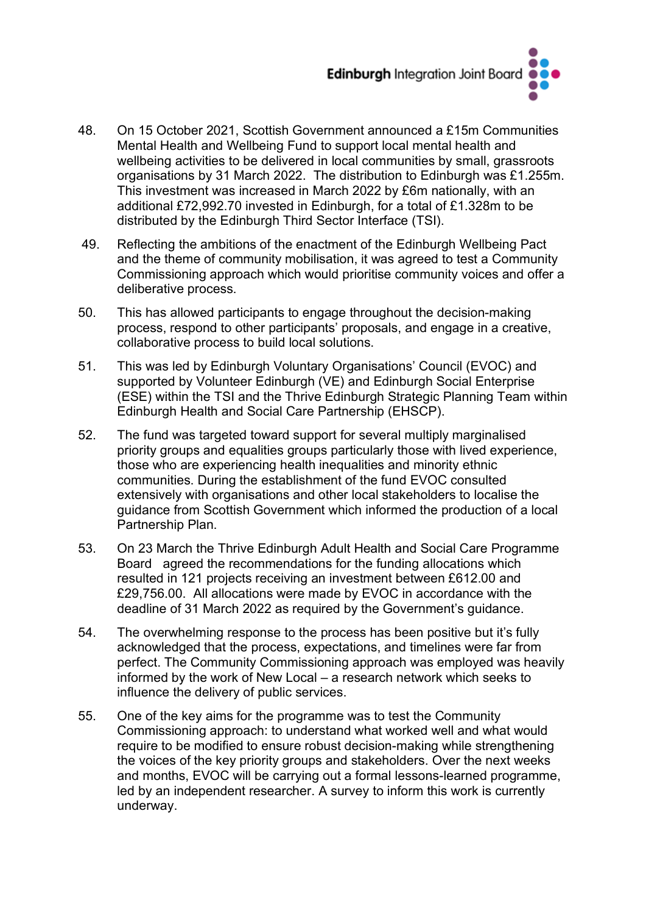

- 48. On 15 October 2021, Scottish Government announced a £15m Communities Mental Health and Wellbeing Fund to support local mental health and wellbeing activities to be delivered in local communities by small, grassroots organisations by 31 March 2022. The distribution to Edinburgh was £1.255m. This investment was increased in March 2022 by £6m nationally, with an additional £72,992.70 invested in Edinburgh, for a total of £1.328m to be distributed by the Edinburgh Third Sector Interface (TSI).
- 49. Reflecting the ambitions of the enactment of the Edinburgh Wellbeing Pact and the theme of community mobilisation, it was agreed to test a Community Commissioning approach which would prioritise community voices and offer a deliberative process.
- 50. This has allowed participants to engage throughout the decision-making process, respond to other participants' proposals, and engage in a creative, collaborative process to build local solutions.
- 51. This was led by Edinburgh Voluntary Organisations' Council (EVOC) and supported by Volunteer Edinburgh (VE) and Edinburgh Social Enterprise (ESE) within the TSI and the Thrive Edinburgh Strategic Planning Team within Edinburgh Health and Social Care Partnership (EHSCP).
- 52. The fund was targeted toward support for several multiply marginalised priority groups and equalities groups particularly those with lived experience, those who are experiencing health inequalities and minority ethnic communities. During the establishment of the fund EVOC consulted extensively with organisations and other local stakeholders to localise the guidance from Scottish Government which informed the production of a local Partnership Plan.
- 53. On 23 March the Thrive Edinburgh Adult Health and Social Care Programme Board agreed the recommendations for the funding allocations which resulted in 121 projects receiving an investment between £612.00 and £29,756.00. All allocations were made by EVOC in accordance with the deadline of 31 March 2022 as required by the Government's guidance.
- 54. The overwhelming response to the process has been positive but it's fully acknowledged that the process, expectations, and timelines were far from perfect. The Community Commissioning approach was employed was heavily informed by the work of New Local – a research network which seeks to influence the delivery of public services.
- 55. One of the key aims for the programme was to test the Community Commissioning approach: to understand what worked well and what would require to be modified to ensure robust decision-making while strengthening the voices of the key priority groups and stakeholders. Over the next weeks and months, EVOC will be carrying out a formal lessons-learned programme, led by an independent researcher. A survey to inform this work is currently underway.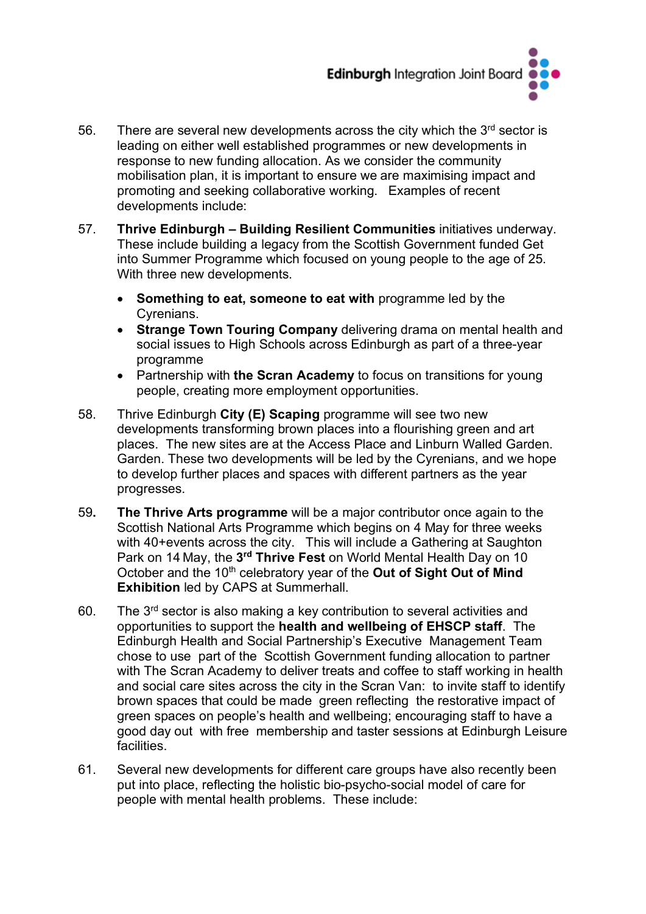

- 56. There are several new developments across the city which the  $3<sup>rd</sup>$  sector is leading on either well established programmes or new developments in response to new funding allocation. As we consider the community mobilisation plan, it is important to ensure we are maximising impact and promoting and seeking collaborative working. Examples of recent developments include:
- 57. **Thrive Edinburgh – Building Resilient Communities** initiatives underway. These include building a legacy from the Scottish Government funded Get into Summer Programme which focused on young people to the age of 25. With three new developments.
	- **Something to eat, someone to eat with** programme led by the Cyrenians.
	- **Strange Town Touring Company** delivering drama on mental health and social issues to High Schools across Edinburgh as part of a three-year programme
	- Partnership with **the Scran Academy** to focus on transitions for young people, creating more employment opportunities.
- 58. Thrive Edinburgh **City (E) Scaping** programme will see two new developments transforming brown places into a flourishing green and art places. The new sites are at the Access Place and Linburn Walled Garden. Garden. These two developments will be led by the Cyrenians, and we hope to develop further places and spaces with different partners as the year progresses.
- 59**. The Thrive Arts programme** will be a major contributor once again to the Scottish National Arts Programme which begins on 4 May for three weeks with 40+events across the city. This will include a Gathering at Saughton Park on 14 May, the **3rd Thrive Fest** on World Mental Health Day on 10 October and the 10<sup>th</sup> celebratory year of the **Out of Sight Out of Mind Exhibition** led by CAPS at Summerhall.
- 60. The  $3<sup>rd</sup>$  sector is also making a key contribution to several activities and opportunities to support the **health and wellbeing of EHSCP staff**. The Edinburgh Health and Social Partnership's Executive Management Team chose to use part of the Scottish Government funding allocation to partner with The Scran Academy to deliver treats and coffee to staff working in health and social care sites across the city in the Scran Van: to invite staff to identify brown spaces that could be made green reflecting the restorative impact of green spaces on people's health and wellbeing; encouraging staff to have a good day out with free membership and taster sessions at Edinburgh Leisure facilities.
- 61. Several new developments for different care groups have also recently been put into place, reflecting the holistic bio-psycho-social model of care for people with mental health problems. These include: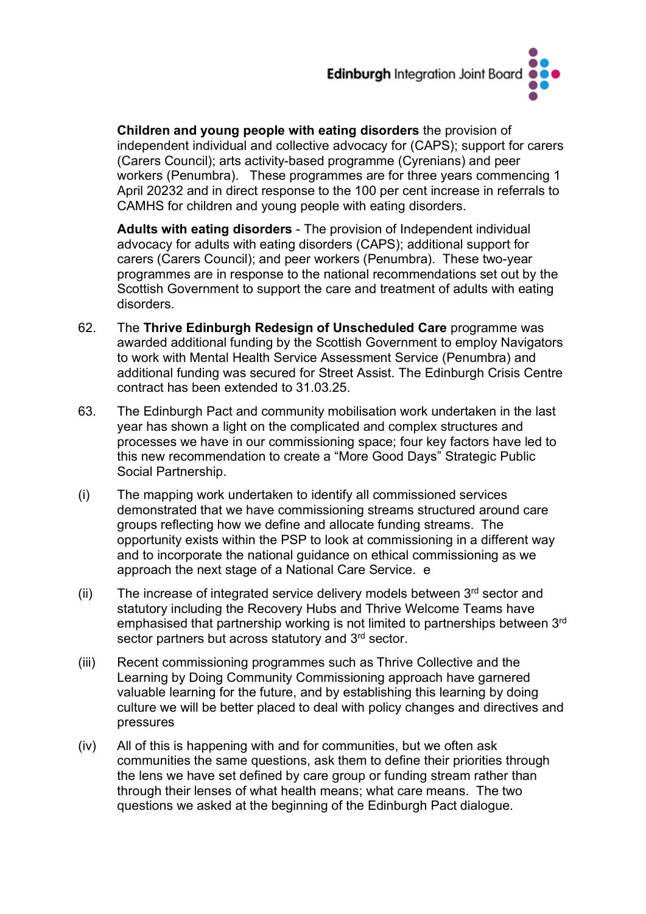

**Children and young people with eating disorders** the provision of independent individual and collective advocacy for (CAPS); support for carers (Carers Council); arts activity-based programme (Cyrenians) and peer workers (Penumbra). These programmes are for three years commencing 1 April 20232 and in direct response to the 100 per cent increase in referrals to CAMHS for children and young people with eating disorders.

**Adults with eating disorders** - The provision of Independent individual advocacy for adults with eating disorders (CAPS); additional support for carers (Carers Council); and peer workers (Penumbra). These two-year programmes are in response to the national recommendations set out by the Scottish Government to support the care and treatment of adults with eating disorders.

- 62. The **Thrive Edinburgh Redesign of Unscheduled Care** programme was awarded additional funding by the Scottish Government to employ Navigators to work with Mental Health Service Assessment Service (Penumbra) and additional funding was secured for Street Assist. The Edinburgh Crisis Centre contract has been extended to 31.03.25.
- 63. The Edinburgh Pact and community mobilisation work undertaken in the last year has shown a light on the complicated and complex structures and processes we have in our commissioning space; four key factors have led to this new recommendation to create a "More Good Days" Strategic Public Social Partnership.
- (i) The mapping work undertaken to identify all commissioned services demonstrated that we have commissioning streams structured around care groups reflecting how we define and allocate funding streams. The opportunity exists within the PSP to look at commissioning in a different way and to incorporate the national guidance on ethical commissioning as we approach the next stage of a National Care Service. e
- (ii) The increase of integrated service delivery models between  $3<sup>rd</sup>$  sector and statutory including the Recovery Hubs and Thrive Welcome Teams have emphasised that partnership working is not limited to partnerships between 3rd sector partners but across statutory and 3<sup>rd</sup> sector.
- (iii) Recent commissioning programmes such as Thrive Collective and the Learning by Doing Community Commissioning approach have garnered valuable learning for the future, and by establishing this learning by doing culture we will be better placed to deal with policy changes and directives and pressures
- (iv) All of this is happening with and for communities, but we often ask communities the same questions, ask them to define their priorities through the lens we have set defined by care group or funding stream rather than through their lenses of what health means; what care means. The two questions we asked at the beginning of the Edinburgh Pact dialogue.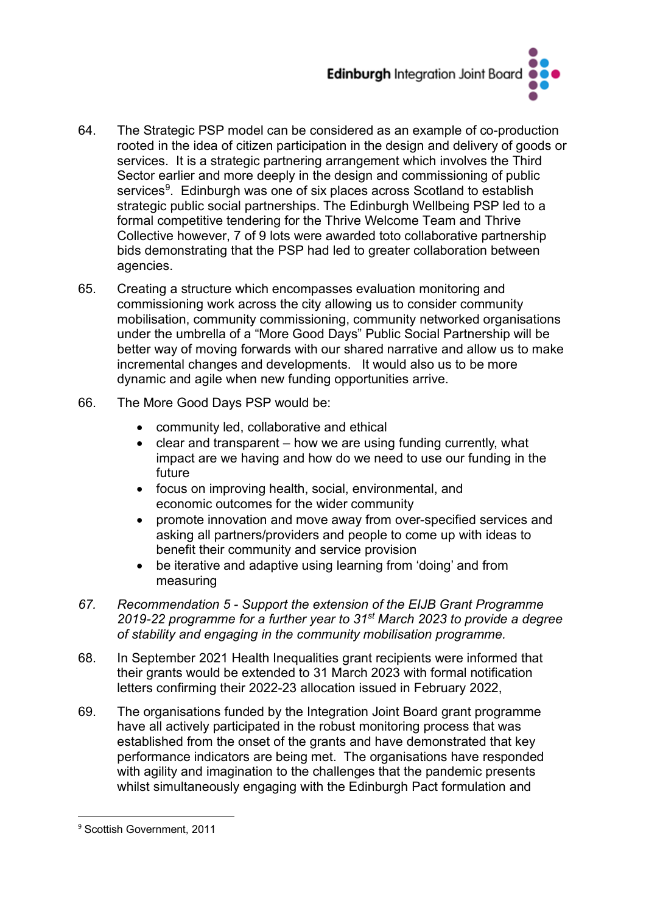

- 64. The Strategic PSP model can be considered as an example of co-production rooted in the idea of citizen participation in the design and delivery of goods or services. It is a strategic partnering arrangement which involves the Third Sector earlier and more deeply in the design and commissioning of public services<sup>9</sup>. Edinburgh was one of six places across Scotland to establish strategic public social partnerships. The Edinburgh Wellbeing PSP led to a formal competitive tendering for the Thrive Welcome Team and Thrive Collective however, 7 of 9 lots were awarded toto collaborative partnership bids demonstrating that the PSP had led to greater collaboration between agencies.
- 65. Creating a structure which encompasses evaluation monitoring and commissioning work across the city allowing us to consider community mobilisation, community commissioning, community networked organisations under the umbrella of a "More Good Days" Public Social Partnership will be better way of moving forwards with our shared narrative and allow us to make incremental changes and developments. It would also us to be more dynamic and agile when new funding opportunities arrive.
- 66. The More Good Days PSP would be:
	- community led, collaborative and ethical
	- clear and transparent how we are using funding currently, what impact are we having and how do we need to use our funding in the future
	- focus on improving health, social, environmental, and economic outcomes for the wider community
	- promote innovation and move away from over-specified services and asking all partners/providers and people to come up with ideas to benefit their community and service provision
	- be iterative and adaptive using learning from 'doing' and from measuring
- *67. Recommendation 5 - Support the extension of the EIJB Grant Programme 2019-22 programme for a further year to 31st March 2023 to provide a degree of stability and engaging in the community mobilisation programme.*
- 68. In September 2021 Health Inequalities grant recipients were informed that their grants would be extended to 31 March 2023 with formal notification letters confirming their 2022-23 allocation issued in February 2022,
- 69. The organisations funded by the Integration Joint Board grant programme have all actively participated in the robust monitoring process that was established from the onset of the grants and have demonstrated that key performance indicators are being met. The organisations have responded with agility and imagination to the challenges that the pandemic presents whilst simultaneously engaging with the Edinburgh Pact formulation and

<span id="page-20-0"></span><sup>9</sup> Scottish Government, 2011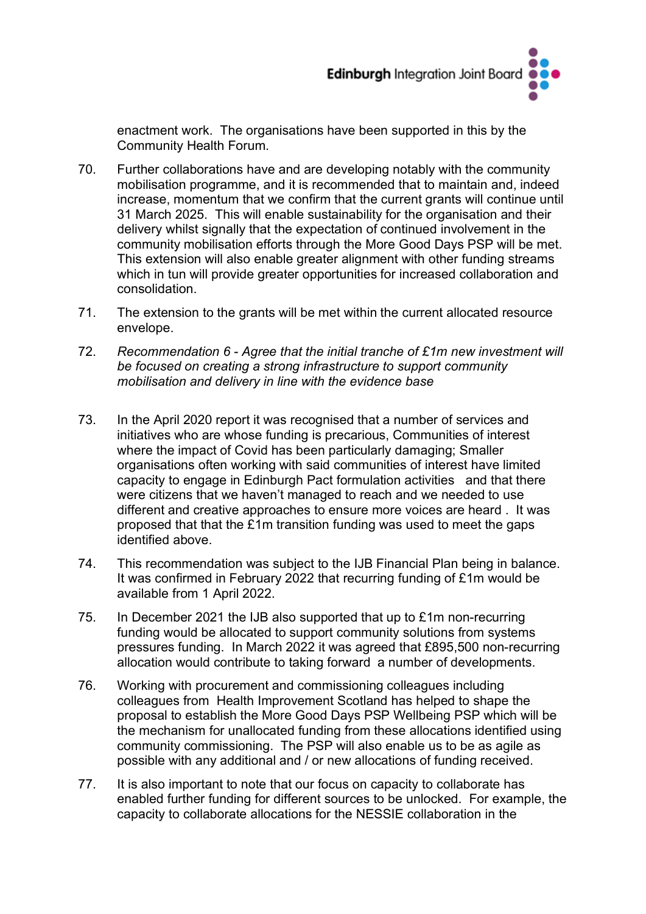

enactment work. The organisations have been supported in this by the Community Health Forum.

- 70. Further collaborations have and are developing notably with the community mobilisation programme, and it is recommended that to maintain and, indeed increase, momentum that we confirm that the current grants will continue until 31 March 2025. This will enable sustainability for the organisation and their delivery whilst signally that the expectation of continued involvement in the community mobilisation efforts through the More Good Days PSP will be met. This extension will also enable greater alignment with other funding streams which in tun will provide greater opportunities for increased collaboration and consolidation.
- 71. The extension to the grants will be met within the current allocated resource envelope.
- 72. *Recommendation 6 - Agree that the initial tranche of £1m new investment will be focused on creating a strong infrastructure to support community mobilisation and delivery in line with the evidence base*
- 73. In the April 2020 report it was recognised that a number of services and initiatives who are whose funding is precarious, Communities of interest where the impact of Covid has been particularly damaging; Smaller organisations often working with said communities of interest have limited capacity to engage in Edinburgh Pact formulation activities and that there were citizens that we haven't managed to reach and we needed to use different and creative approaches to ensure more voices are heard . It was proposed that that the £1m transition funding was used to meet the gaps identified above.
- 74. This recommendation was subject to the IJB Financial Plan being in balance. It was confirmed in February 2022 that recurring funding of £1m would be available from 1 April 2022.
- 75. In December 2021 the IJB also supported that up to £1m non-recurring funding would be allocated to support community solutions from systems pressures funding. In March 2022 it was agreed that £895,500 non-recurring allocation would contribute to taking forward a number of developments.
- 76. Working with procurement and commissioning colleagues including colleagues from Health Improvement Scotland has helped to shape the proposal to establish the More Good Days PSP Wellbeing PSP which will be the mechanism for unallocated funding from these allocations identified using community commissioning. The PSP will also enable us to be as agile as possible with any additional and / or new allocations of funding received.
- 77. It is also important to note that our focus on capacity to collaborate has enabled further funding for different sources to be unlocked. For example, the capacity to collaborate allocations for the NESSIE collaboration in the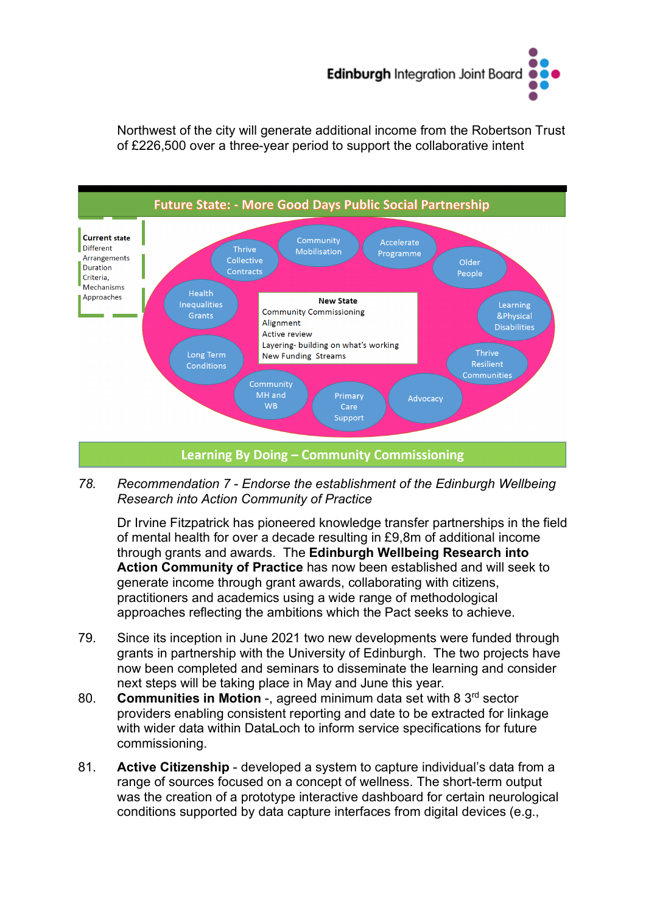

Northwest of the city will generate additional income from the Robertson Trust of £226,500 over a three-year period to support the collaborative intent



#### *78. Recommendation 7 - Endorse the establishment of the Edinburgh Wellbeing Research into Action Community of Practice*

Dr Irvine Fitzpatrick has pioneered knowledge transfer partnerships in the field of mental health for over a decade resulting in £9,8m of additional income through grants and awards. The **Edinburgh Wellbeing Research into Action Community of Practice** has now been established and will seek to generate income through grant awards, collaborating with citizens, practitioners and academics using a wide range of methodological approaches reflecting the ambitions which the Pact seeks to achieve.

- 79. Since its inception in June 2021 two new developments were funded through grants in partnership with the University of Edinburgh. The two projects have now been completed and seminars to disseminate the learning and consider next steps will be taking place in May and June this year.
- 80. **Communities in Motion** -, agreed minimum data set with 8 3rd sector providers enabling consistent reporting and date to be extracted for linkage with wider data within DataLoch to inform service specifications for future commissioning.
- 81. **Active Citizenship** developed a system to capture individual's data from a range of sources focused on a concept of wellness. The short-term output was the creation of a prototype interactive dashboard for certain neurological conditions supported by data capture interfaces from digital devices (e.g.,